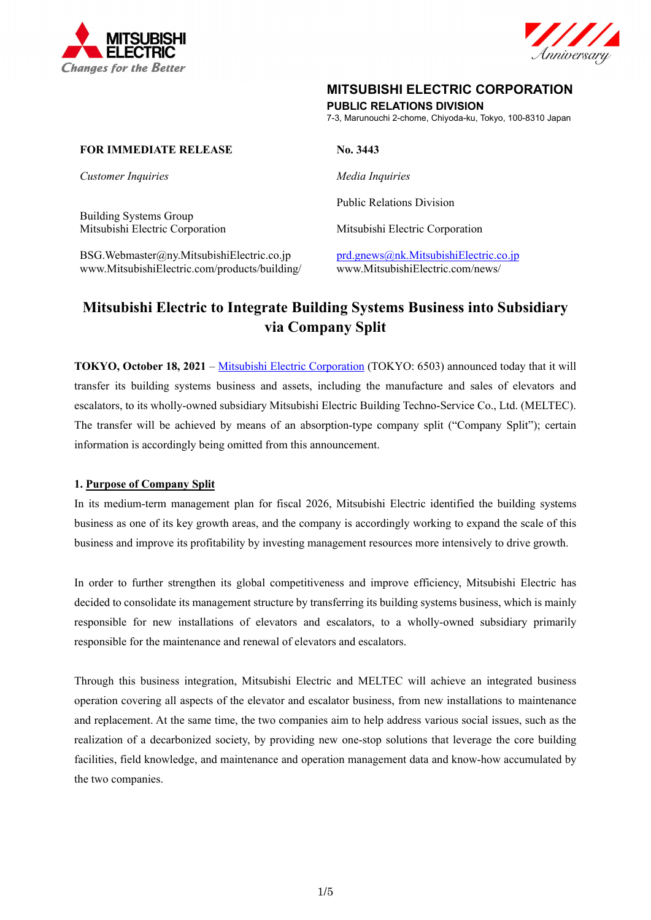



# **MITSUBISHI ELECTRIC CORPORATION**

**PUBLIC RELATIONS DIVISION** 

7-3, Marunouchi 2-chome, Chiyoda-ku, Tokyo, 100-8310 Japan

#### **FOR IMMEDIATE RELEASE No. 3443**

*Customer Inquiries Media Inquiries* 

Building Systems Group Mitsubishi Electric Corporation Mitsubishi Electric Corporation

BSG.Webmaster@ny.MitsubishiElectric.co.jp prd.gnews@nk.MitsubishiElectric.co.jp www.MitsubishiElectric.com/products/building/ www.MitsubishiElectric.com/news/

Public Relations Division

# **Mitsubishi Electric to Integrate Building Systems Business into Subsidiary via Company Split**

**TOKYO, October 18, 2021** – Mitsubishi Electric Corporation (TOKYO: 6503) announced today that it will transfer its building systems business and assets, including the manufacture and sales of elevators and escalators, to its wholly-owned subsidiary Mitsubishi Electric Building Techno-Service Co., Ltd. (MELTEC). The transfer will be achieved by means of an absorption-type company split ("Company Split"); certain information is accordingly being omitted from this announcement.

## **1. Purpose of Company Split**

In its medium-term management plan for fiscal 2026, Mitsubishi Electric identified the building systems business as one of its key growth areas, and the company is accordingly working to expand the scale of this business and improve its profitability by investing management resources more intensively to drive growth.

In order to further strengthen its global competitiveness and improve efficiency, Mitsubishi Electric has decided to consolidate its management structure by transferring its building systems business, which is mainly responsible for new installations of elevators and escalators, to a wholly-owned subsidiary primarily responsible for the maintenance and renewal of elevators and escalators.

Through this business integration, Mitsubishi Electric and MELTEC will achieve an integrated business operation covering all aspects of the elevator and escalator business, from new installations to maintenance and replacement. At the same time, the two companies aim to help address various social issues, such as the realization of a decarbonized society, by providing new one-stop solutions that leverage the core building facilities, field knowledge, and maintenance and operation management data and know-how accumulated by the two companies.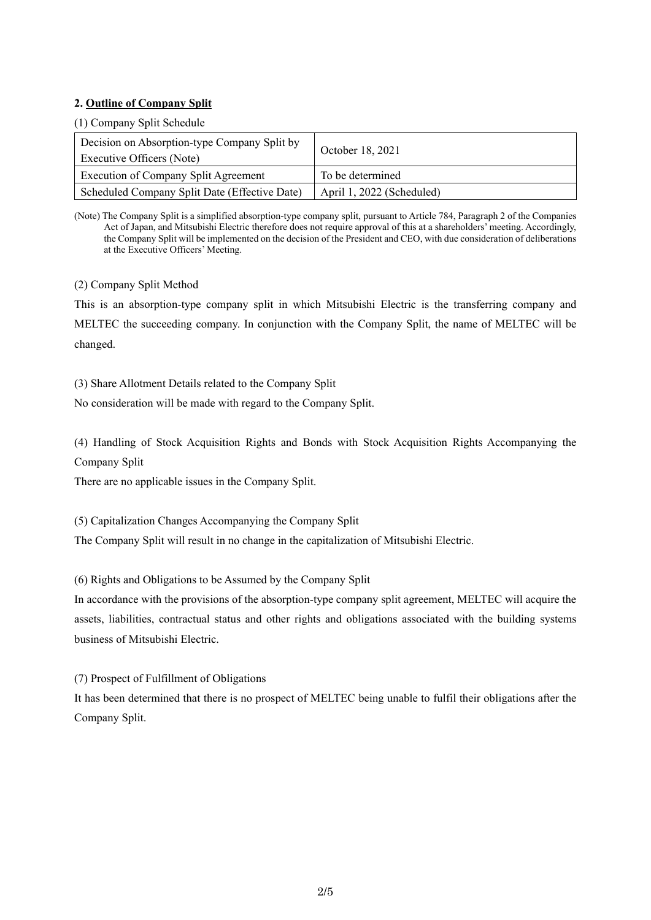#### **2. Outline of Company Split**

## (1) Company Split Schedule

| Decision on Absorption-type Company Split by<br>Executive Officers (Note) | October 18, 2021          |
|---------------------------------------------------------------------------|---------------------------|
| <b>Execution of Company Split Agreement</b>                               | To be determined          |
| Scheduled Company Split Date (Effective Date)                             | April 1, 2022 (Scheduled) |

(Note) The Company Split is a simplified absorption-type company split, pursuant to Article 784, Paragraph 2 of the Companies Act of Japan, and Mitsubishi Electric therefore does not require approval of this at a shareholders' meeting. Accordingly, the Company Split will be implemented on the decision of the President and CEO, with due consideration of deliberations at the Executive Officers' Meeting.

(2) Company Split Method

This is an absorption-type company split in which Mitsubishi Electric is the transferring company and MELTEC the succeeding company. In conjunction with the Company Split, the name of MELTEC will be changed.

(3) Share Allotment Details related to the Company Split

No consideration will be made with regard to the Company Split.

(4) Handling of Stock Acquisition Rights and Bonds with Stock Acquisition Rights Accompanying the Company Split

There are no applicable issues in the Company Split.

(5) Capitalization Changes Accompanying the Company Split

The Company Split will result in no change in the capitalization of Mitsubishi Electric.

(6) Rights and Obligations to be Assumed by the Company Split

In accordance with the provisions of the absorption-type company split agreement, MELTEC will acquire the assets, liabilities, contractual status and other rights and obligations associated with the building systems business of Mitsubishi Electric.

(7) Prospect of Fulfillment of Obligations

It has been determined that there is no prospect of MELTEC being unable to fulfil their obligations after the Company Split.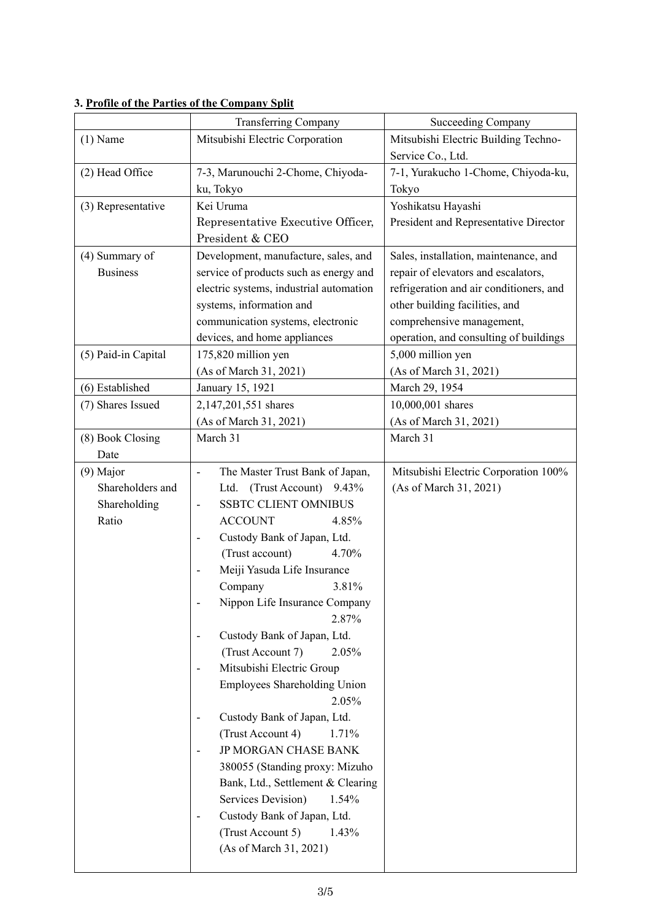|                     | <b>Transferring Company</b>                             | <b>Succeeding Company</b>               |  |
|---------------------|---------------------------------------------------------|-----------------------------------------|--|
| $(1)$ Name          | Mitsubishi Electric Corporation                         | Mitsubishi Electric Building Techno-    |  |
|                     |                                                         | Service Co., Ltd.                       |  |
| (2) Head Office     | 7-3, Marunouchi 2-Chome, Chiyoda-                       | 7-1, Yurakucho 1-Chome, Chiyoda-ku,     |  |
|                     | ku, Tokyo                                               | Tokyo                                   |  |
| (3) Representative  | Kei Uruma                                               | Yoshikatsu Hayashi                      |  |
|                     | Representative Executive Officer,                       | President and Representative Director   |  |
|                     | President & CEO                                         |                                         |  |
| (4) Summary of      | Development, manufacture, sales, and                    | Sales, installation, maintenance, and   |  |
| <b>Business</b>     | service of products such as energy and                  | repair of elevators and escalators,     |  |
|                     | electric systems, industrial automation                 | refrigeration and air conditioners, and |  |
|                     | systems, information and                                | other building facilities, and          |  |
|                     | communication systems, electronic                       | comprehensive management,               |  |
|                     | devices, and home appliances                            | operation, and consulting of buildings  |  |
| (5) Paid-in Capital | 175,820 million yen                                     | 5,000 million yen                       |  |
|                     | (As of March 31, 2021)                                  | (As of March 31, 2021)                  |  |
| (6) Established     | January 15, 1921                                        | March 29, 1954                          |  |
| (7) Shares Issued   | 2,147,201,551 shares                                    | 10,000,001 shares                       |  |
|                     | (As of March 31, 2021)                                  | (As of March 31, 2021)                  |  |
| (8) Book Closing    | March 31                                                | March 31                                |  |
| Date                |                                                         |                                         |  |
| (9) Major           | The Master Trust Bank of Japan,<br>٠                    | Mitsubishi Electric Corporation 100%    |  |
| Shareholders and    | (Trust Account)<br>Ltd.<br>9.43%                        | (As of March 31, 2021)                  |  |
| Shareholding        | <b>SSBTC CLIENT OMNIBUS</b>                             |                                         |  |
| Ratio               | <b>ACCOUNT</b><br>4.85%                                 |                                         |  |
|                     | Custody Bank of Japan, Ltd.                             |                                         |  |
|                     | (Trust account)<br>4.70%                                |                                         |  |
|                     | Meiji Yasuda Life Insurance                             |                                         |  |
|                     | 3.81%<br>Company                                        |                                         |  |
|                     | Nippon Life Insurance Company                           |                                         |  |
|                     | 2.87%                                                   |                                         |  |
|                     | Custody Bank of Japan, Ltd.<br>$\overline{a}$<br>2.05%  |                                         |  |
|                     | (Trust Account 7)<br>Mitsubishi Electric Group<br>۰     |                                         |  |
|                     | Employees Shareholding Union                            |                                         |  |
|                     | 2.05%                                                   |                                         |  |
|                     | Custody Bank of Japan, Ltd.<br>$\overline{a}$           |                                         |  |
|                     | (Trust Account 4)<br>1.71%                              |                                         |  |
|                     | JP MORGAN CHASE BANK<br>-                               |                                         |  |
|                     | 380055 (Standing proxy: Mizuho                          |                                         |  |
|                     | Bank, Ltd., Settlement & Clearing                       |                                         |  |
|                     | Services Devision)<br>1.54%                             |                                         |  |
|                     | Custody Bank of Japan, Ltd.<br>$\overline{\phantom{m}}$ |                                         |  |
|                     | (Trust Account 5)<br>1.43%                              |                                         |  |
|                     | (As of March 31, 2021)                                  |                                         |  |
|                     |                                                         |                                         |  |

# **3. Profile of the Parties of the Company Split**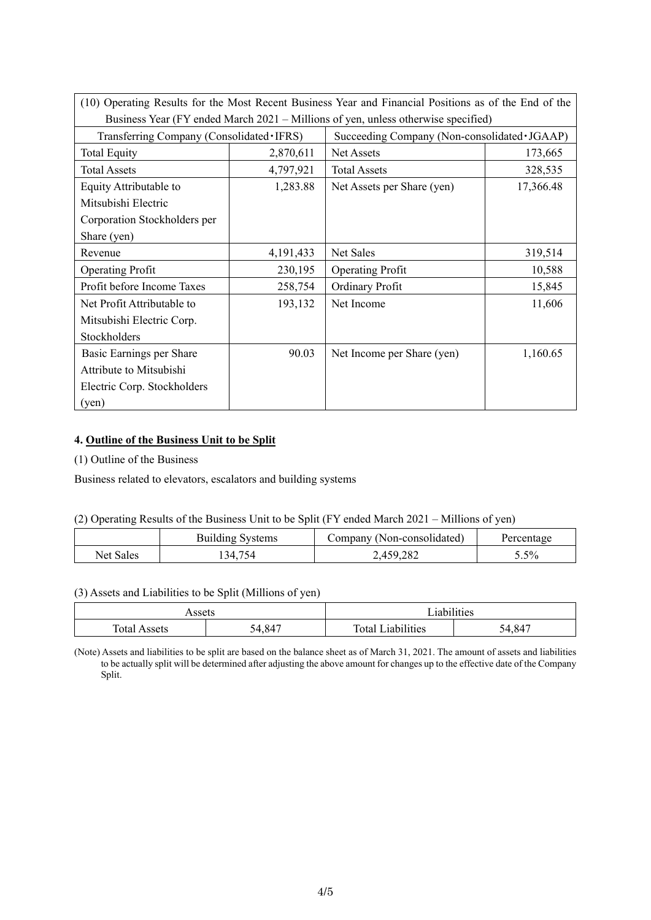|                                            |           | (10) Operating Results for the Most Recent Business Year and Financial Positions as of the End of the |           |  |
|--------------------------------------------|-----------|-------------------------------------------------------------------------------------------------------|-----------|--|
|                                            |           | Business Year (FY ended March 2021 – Millions of yen, unless otherwise specified)                     |           |  |
| Transferring Company (Consolidated · IFRS) |           | Succeeding Company (Non-consolidated·JGAAP)                                                           |           |  |
| <b>Total Equity</b>                        | 2,870,611 | Net Assets                                                                                            | 173,665   |  |
| <b>Total Assets</b>                        | 4,797,921 | <b>Total Assets</b>                                                                                   | 328,535   |  |
| Equity Attributable to                     | 1,283.88  | Net Assets per Share (yen)                                                                            | 17,366.48 |  |
| Mitsubishi Electric                        |           |                                                                                                       |           |  |
| Corporation Stockholders per               |           |                                                                                                       |           |  |
| Share (yen)                                |           |                                                                                                       |           |  |
| Revenue                                    | 4,191,433 | Net Sales                                                                                             | 319,514   |  |
| <b>Operating Profit</b>                    | 230,195   | <b>Operating Profit</b>                                                                               | 10,588    |  |
| Profit before Income Taxes                 | 258,754   | <b>Ordinary Profit</b>                                                                                | 15,845    |  |
| Net Profit Attributable to                 | 193,132   | Net Income                                                                                            | 11,606    |  |
| Mitsubishi Electric Corp.                  |           |                                                                                                       |           |  |
| Stockholders                               |           |                                                                                                       |           |  |
| Basic Earnings per Share                   | 90.03     | Net Income per Share (yen)                                                                            | 1,160.65  |  |
| Attribute to Mitsubishi                    |           |                                                                                                       |           |  |
| Electric Corp. Stockholders                |           |                                                                                                       |           |  |
| (yen)                                      |           |                                                                                                       |           |  |

# **4. Outline of the Business Unit to be Split**

(1) Outline of the Business

Business related to elevators, escalators and building systems

#### (2) Operating Results of the Business Unit to be Split (FY ended March 2021 – Millions of yen)

|                  | <b>Building Systems</b> | Company (Non-consolidated) | Percentage |
|------------------|-------------------------|----------------------------|------------|
| <b>Net Sales</b> | 134.754                 | 2,459,282                  | $5.5\%$    |

# (3) Assets and Liabilities to be Split (Millions of yen)

| Assets |               | <sup>t</sup> iabilities |               |  |
|--------|---------------|-------------------------|---------------|--|
|        |               |                         |               |  |
| Total. | $+84^{\circ}$ | iabilities              | $-84^{\circ}$ |  |
| Assets | ັ             | $T_{\Omega}$ tai        | šД            |  |

(Note) Assets and liabilities to be split are based on the balance sheet as of March 31, 2021. The amount of assets and liabilities to be actually split will be determined after adjusting the above amount for changes up to the effective date of the Company Split.